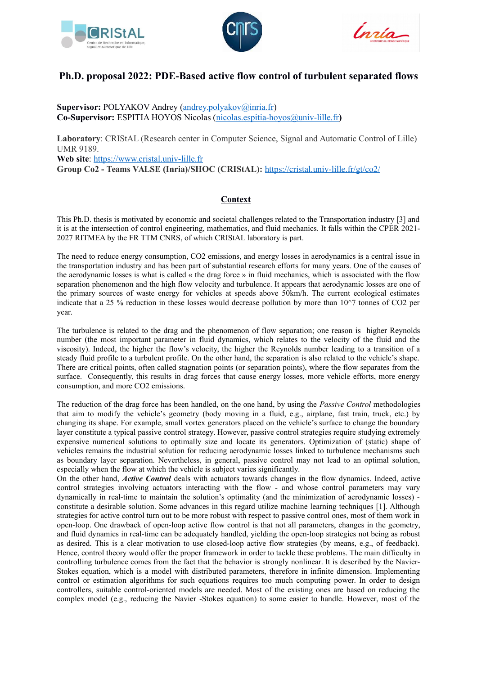





# **Ph.D. proposal 2022: PDE-Based active flow control of turbulent separated flows**

**Supervisor:** POLYAKOV Andrey [\(andrey.polyakov@inria.fr\)](mailto:wilfrid.perruquetti@centralelille.fr) **Co-Supervisor:** ESPITIA HOYOS Nicolas [\(nicolas.espitia-hoyos@univ-lille.fr](mailto:nicolas.espitia-hoyos@univ-lille.fr)**)**

**Laboratory**: CRIStAL (Research center in Computer Science, Signal and Automatic Control of Lille) UMR 9189. **Web site**: [https://www.cristal.univ-lille.fr](https://www.cristal.univ-lille.fr/)

**Group Co2 - Teams VALSE (Inria)/SHOC (CRIStAL):** https://cristal.univ-lille.fr/gt/co2/

# **Context**

This Ph.D. thesis is motivated by economic and societal challenges related to the Transportation industry [3] and it is at the intersection of control engineering, mathematics, and fluid mechanics. It falls within the CPER 2021- 2027 RITMEA by the FR TTM CNRS, of which CRIStAL laboratory is part.

The need to reduce energy consumption, CO2 emissions, and energy losses in aerodynamics is a central issue in the transportation industry and has been part of substantial research efforts for many years. One of the causes of the aerodynamic losses is what is called « the drag force » in fluid mechanics, which is associated with the flow separation phenomenon and the high flow velocity and turbulence. It appears that aerodynamic losses are one of the primary sources of waste energy for vehicles at speeds above 50km/h. The current ecological estimates indicate that a 25 % reduction in these losses would decrease pollution by more than 10^7 tonnes of CO2 per year.

The turbulence is related to the drag and the phenomenon of flow separation; one reason is higher Reynolds number (the most important parameter in fluid dynamics, which relates to the velocity of the fluid and the viscosity). Indeed, the higher the flow's velocity, the higher the Reynolds number leading to a transition of a steady fluid profile to a turbulent profile. On the other hand, the separation is also related to the vehicle's shape. There are critical points, often called stagnation points (or separation points), where the flow separates from the surface. Consequently, this results in drag forces that cause energy losses, more vehicle efforts, more energy consumption, and more CO2 emissions.

The reduction of the drag force has been handled, on the one hand, by using the *Passive Control* methodologies that aim to modify the vehicle's geometry (body moving in a fluid, e.g., airplane, fast train, truck, etc.) by changing its shape. For example, small vortex generators placed on the vehicle's surface to change the boundary layer constitute a typical passive control strategy. However, passive control strategies require studying extremely expensive numerical solutions to optimally size and locate its generators. Optimization of (static) shape of vehicles remains the industrial solution for reducing aerodynamic losses linked to turbulence mechanisms such as boundary layer separation. Nevertheless, in general, passive control may not lead to an optimal solution, especially when the flow at which the vehicle is subject varies significantly.

On the other hand, *Active Control* deals with actuators towards changes in the flow dynamics. Indeed, active control strategies involving actuators interacting with the flow - and whose control parameters may vary dynamically in real-time to maintain the solution's optimality (and the minimization of aerodynamic losses) constitute a desirable solution. Some advances in this regard utilize machine learning techniques [1]. Although strategies for active control turn out to be more robust with respect to passive control ones, most of them work in open-loop. One drawback of open-loop active flow control is that not all parameters, changes in the geometry, and fluid dynamics in real-time can be adequately handled, yielding the open-loop strategies not being as robust as desired. This is a clear motivation to use closed-loop active flow strategies (by means, e.g., of feedback). Hence, control theory would offer the proper framework in order to tackle these problems. The main difficulty in controlling turbulence comes from the fact that the behavior is strongly nonlinear. It is described by the Navier-Stokes equation, which is a model with distributed parameters, therefore in infinite dimension. Implementing control or estimation algorithms for such equations requires too much computing power. In order to design controllers, suitable control-oriented models are needed. Most of the existing ones are based on reducing the complex model (e.g., reducing the Navier -Stokes equation) to some easier to handle. However, most of the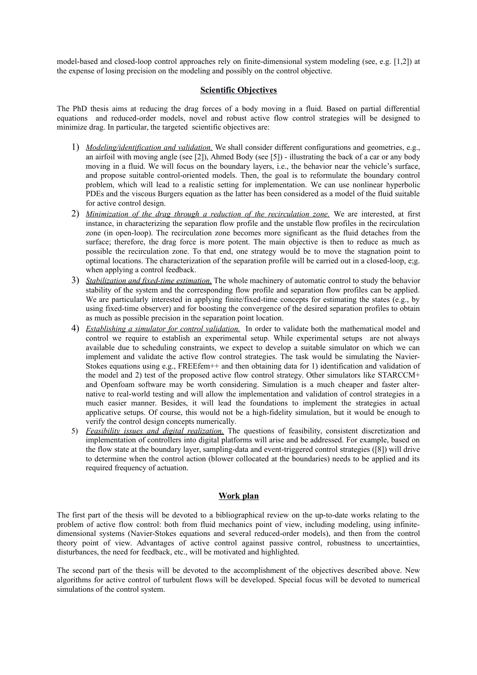model-based and closed-loop control approaches rely on finite-dimensional system modeling (see, e.g. [1,2]) at the expense of losing precision on the modeling and possibly on the control objective.

### **Scientific Objectives**

The PhD thesis aims at reducing the drag forces of a body moving in a fluid. Based on partial differential equations and reduced-order models, novel and robust active flow control strategies will be designed to minimize drag. In particular, the targeted scientific objectives are:

- 1) *Modeling/identification and validation.* We shall consider different configurations and geometries, e.g., an airfoil with moving angle (see [2]), Ahmed Body (see [5]) - illustrating the back of a car or any body moving in a fluid. We will focus on the boundary layers, i.e., the behavior near the vehicle's surface, and propose suitable control-oriented models. Then, the goal is to reformulate the boundary control problem, which will lead to a realistic setting for implementation. We can use nonlinear hyperbolic PDEs and the viscous Burgers equation as the latter has been considered as a model of the fluid suitable for active control design.
- 2) *Minimization of the drag through a reduction of the recirculation zone.* We are interested, at first instance, in characterizing the separation flow profile and the unstable flow profiles in the recirculation zone (in open-loop). The recirculation zone becomes more significant as the fluid detaches from the surface; therefore, the drag force is more potent. The main objective is then to reduce as much as possible the recirculation zone. To that end, one strategy would be to move the stagnation point to optimal locations. The characterization of the separation profile will be carried out in a closed-loop, e;g. when applying a control feedback.
- 3) *Stabilization and fixed-time estimation.* The whole machinery of automatic control to study the behavior stability of the system and the corresponding flow profile and separation flow profiles can be applied. We are particularly interested in applying finite/fixed-time concepts for estimating the states (e.g., by using fixed-time observer) and for boosting the convergence of the desired separation profiles to obtain as much as possible precision in the separation point location.
- 4) *Establishing a simulator for control validation.* In order to validate both the mathematical model and control we require to establish an experimental setup. While experimental setups are not always available due to scheduling constraints, we expect to develop a suitable simulator on which we can implement and validate the active flow control strategies. The task would be simulating the Navier-Stokes equations using e.g., FREEfem++ and then obtaining data for 1) identification and validation of the model and 2) test of the proposed active flow control strategy. Other simulators like STARCCM+ and Openfoam software may be worth considering. Simulation is a much cheaper and faster alternative to real-world testing and will allow the implementation and validation of control strategies in a much easier manner. Besides, it will lead the foundations to implement the strategies in actual applicative setups. Of course, this would not be a high-fidelity simulation, but it would be enough to verify the control design concepts numerically.
- 5) *Feasibility issues and digital realization.* The questions of feasibility, consistent discretization and implementation of controllers into digital platforms will arise and be addressed. For example, based on the flow state at the boundary layer, sampling-data and event-triggered control strategies ([8]) will drive to determine when the control action (blower collocated at the boundaries) needs to be applied and its required frequency of actuation.

## **Work plan**

The first part of the thesis will be devoted to a bibliographical review on the up-to-date works relating to the problem of active flow control: both from fluid mechanics point of view, including modeling, using infinitedimensional systems (Navier-Stokes equations and several reduced-order models), and then from the control theory point of view. Advantages of active control against passive control, robustness to uncertainties, disturbances, the need for feedback, etc., will be motivated and highlighted.

The second part of the thesis will be devoted to the accomplishment of the objectives described above. New algorithms for active control of turbulent flows will be developed. Special focus will be devoted to numerical simulations of the control system.